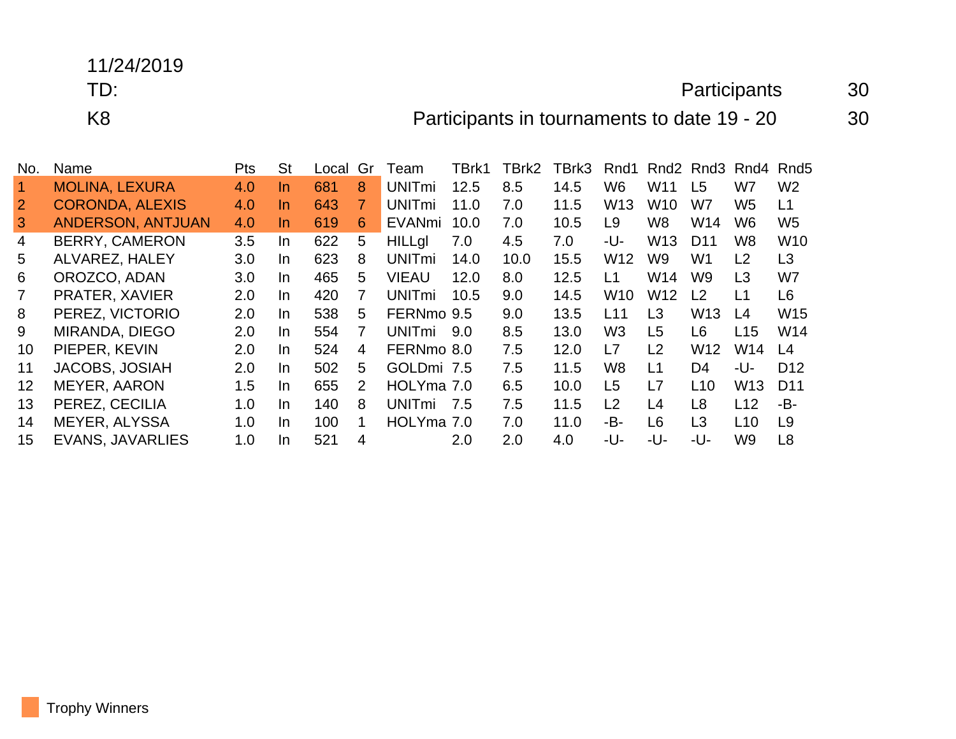## 11/24/2019

## TD: Participants 30

K8 **Participants in tournaments to date 19 - 20** 30

| No.             | Name                     | <b>Pts</b> | <b>St</b> | Local | Gr | Team                     | TBrk1 | TBrk2 | TBrk3 | Rnd1            | Rnd <sub>2</sub> | Rnd3            | Rnd4            | Rnd <sub>5</sub> |
|-----------------|--------------------------|------------|-----------|-------|----|--------------------------|-------|-------|-------|-----------------|------------------|-----------------|-----------------|------------------|
| 1.              | <b>MOLINA, LEXURA</b>    | 4.0        | In        | 681   | 8  | <b>UNITmi</b>            | 12.5  | 8.5   | 14.5  | W <sub>6</sub>  | W11              | L <sub>5</sub>  | W7              | W <sub>2</sub>   |
| $\overline{2}$  | <b>CORONDA, ALEXIS</b>   | 4.0        | In        | 643   | 7  | <b>UNIT<sub>mi</sub></b> | 11.0  | 7.0   | 11.5  | W <sub>13</sub> | W <sub>10</sub>  | W7              | W5              | L1               |
| 3               | <b>ANDERSON, ANTJUAN</b> | 4.0        | In.       | 619   | 6  | EVANmi                   | 10.0  | 7.0   | 10.5  | L <sub>9</sub>  | W8               | W14             | W6              | W <sub>5</sub>   |
| 4               | <b>BERRY, CAMERON</b>    | 3.5        | In        | 622   | 5  | <b>HILLgl</b>            | 7.0   | 4.5   | 7.0   | -U-             | W <sub>13</sub>  | D <sub>11</sub> | W8              | W <sub>10</sub>  |
| 5               | ALVAREZ, HALEY           | 3.0        | In.       | 623   | 8  | <b>UNIT<sub>mi</sub></b> | 14.0  | 10.0  | 15.5  | W <sub>12</sub> | W9               | W <sub>1</sub>  | L2              | L <sub>3</sub>   |
| 6               | OROZCO, ADAN             | 3.0        | In.       | 465   | 5  | <b>VIEAU</b>             | 12.0  | 8.0   | 12.5  | L1              | W14              | W <sub>9</sub>  | L3              | W7               |
| $\overline{7}$  | PRATER, XAVIER           | 2.0        | In.       | 420   | 7  | <b>UNITmi</b>            | 10.5  | 9.0   | 14.5  | <b>W10</b>      | W12              | L <sub>2</sub>  | L1              | L <sub>6</sub>   |
| 8               | PEREZ, VICTORIO          | 2.0        | In.       | 538   | 5  | FERNmo 9.5               |       | 9.0   | 13.5  | L11             | L3               | W <sub>13</sub> | L4              | W <sub>15</sub>  |
| 9               | MIRANDA, DIEGO           | 2.0        | In.       | 554   | 7  | <b>UNITmi</b>            | 9.0   | 8.5   | 13.0  | W <sub>3</sub>  | L <sub>5</sub>   | L <sub>6</sub>  | L15             | W14              |
| 10              | PIEPER, KEVIN            | 2.0        | In.       | 524   | 4  | FERNmo 8.0               |       | 7.5   | 12.0  | L7              | L2               | W <sub>12</sub> | W14             | L <sub>4</sub>   |
| 11              | <b>JACOBS, JOSIAH</b>    | 2.0        | In.       | 502   | 5  | GOLDmi 7.5               |       | 7.5   | 11.5  | W <sub>8</sub>  | L1               | D <sub>4</sub>  | -U-             | D <sub>12</sub>  |
| 12 <sup>2</sup> | <b>MEYER, AARON</b>      | 1.5        | In        | 655   | 2  | HOLYma 7.0               |       | 6.5   | 10.0  | L <sub>5</sub>  | L7               | L10             | W <sub>13</sub> | D <sub>11</sub>  |
| 13              | PEREZ, CECILIA           | 1.0        | In.       | 140   | 8  | <b>UNITmi</b>            | 7.5   | 7.5   | 11.5  | L2              | L4               | L <sub>8</sub>  | L12             | -B-              |
| 14              | <b>MEYER, ALYSSA</b>     | 1.0        | In.       | 100   | 1  | HOLYma 7.0               |       | 7.0   | 11.0  | -B-             | L <sub>6</sub>   | L3              | L10             | L9               |
| 15              | <b>EVANS, JAVARLIES</b>  | 1.0        | In        | 521   | 4  |                          | 2.0   | 2.0   | 4.0   | -U-             | -U-              | -U-             | W9              | L <sub>8</sub>   |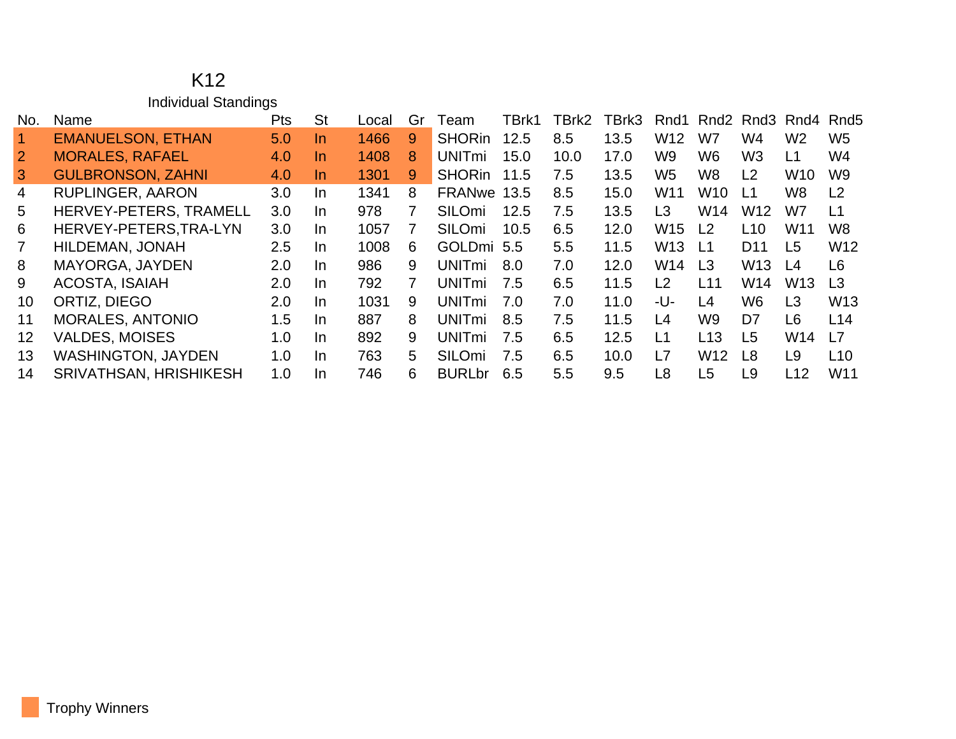|                | K <sub>12</sub>             |            |           |       |    |                          |       |       |       |                 |                 |                 |                 |                  |
|----------------|-----------------------------|------------|-----------|-------|----|--------------------------|-------|-------|-------|-----------------|-----------------|-----------------|-----------------|------------------|
|                | <b>Individual Standings</b> |            |           |       |    |                          |       |       |       |                 |                 |                 |                 |                  |
| No.            | Name                        | <b>Pts</b> | <b>St</b> | Local | Gr | Team                     | TBrk1 | TBrk2 | TBrk3 | Rnd1            | Rnd2            |                 | Rnd3 Rnd4       | Rnd <sub>5</sub> |
|                | <b>EMANUELSON, ETHAN</b>    | 5.0        | In.       | 1466  | 9  | <b>SHORin</b>            | 12.5  | 8.5   | 13.5  | W <sub>12</sub> | W7              | W4              | W <sub>2</sub>  | W <sub>5</sub>   |
| $\overline{2}$ | <b>MORALES, RAFAEL</b>      | 4.0        | In.       | 1408  | 8  | <b>UNITmi</b>            | 15.0  | 10.0  | 17.0  | W <sub>9</sub>  | W <sub>6</sub>  | W <sub>3</sub>  | L1              | W4               |
| 3              | <b>GULBRONSON, ZAHNI</b>    | 4.0        | In.       | 1301  | 9  | <b>SHORin</b>            | 11.5  | 7.5   | 13.5  | W <sub>5</sub>  | W <sub>8</sub>  | L <sub>2</sub>  | W <sub>10</sub> | W9               |
| 4              | <b>RUPLINGER, AARON</b>     | 3.0        | In.       | 1341  | 8  | FRANwe 13.5              |       | 8.5   | 15.0  | W <sub>11</sub> | W <sub>10</sub> | L1              | W <sub>8</sub>  | L <sub>2</sub>   |
| 5              | HERVEY-PETERS, TRAMELL      | 3.0        | In.       | 978   | 7  | <b>SILOmi</b>            | 12.5  | 7.5   | 13.5  | L <sub>3</sub>  | W14             | W <sub>12</sub> | W7              | L1               |
| 6              | HERVEY-PETERS, TRA-LYN      | 3.0        | In.       | 1057  |    | <b>SILOmi</b>            | 10.5  | 6.5   | 12.0  | W <sub>15</sub> | L <sub>2</sub>  | L <sub>10</sub> | W <sub>11</sub> | W <sub>8</sub>   |
|                | HILDEMAN, JONAH             | 2.5        | In.       | 1008  | 6. | GOLDmi 5.5               |       | 5.5   | 11.5  | W <sub>13</sub> | L <sub>1</sub>  | D <sub>11</sub> | L5              | W <sub>12</sub>  |
| 8              | <b>MAYORGA, JAYDEN</b>      | 2.0        | In.       | 986   | 9  | <b>UNITmi</b>            | 8.0   | 7.0   | 12.0  | W14             | L <sub>3</sub>  | W <sub>13</sub> | L4              | L <sub>6</sub>   |
| 9              | <b>ACOSTA, ISAIAH</b>       | 2.0        | In.       | 792   | 7  | <b>UNITmi</b>            | 7.5   | 6.5   | 11.5  | L <sub>2</sub>  | L11             | W14             | W <sub>13</sub> | L <sub>3</sub>   |
| 10             | ORTIZ, DIEGO                | 2.0        | In.       | 1031  | 9  | <b>UNIT<sub>mi</sub></b> | 7.0   | 7.0   | 11.0  | -U-             | L4              | W <sub>6</sub>  | L3              | W <sub>13</sub>  |
| 11             | <b>MORALES, ANTONIO</b>     | 1.5        | In.       | 887   | 8  | <b>UNIT<sub>mi</sub></b> | 8.5   | 7.5   | 11.5  | L4              | W9              | D7              | L <sub>6</sub>  | L14              |
| 12             | <b>VALDES, MOISES</b>       | 1.0        | In.       | 892   | 9  | <b>UNITmi</b>            | 7.5   | 6.5   | 12.5  | L1              | L <sub>13</sub> | L <sub>5</sub>  | W14             | L7               |

 WASHINGTON, JAYDEN 1.0 In 763 5 SILOmi 7.5 6.5 10.0 L7 W12 L8 L9 L10 SRIVATHSAN, HRISHIKESH 1.0 In 746 6 BURLbr 6.5 5.5 9.5 L8 L5 L9 L12 W11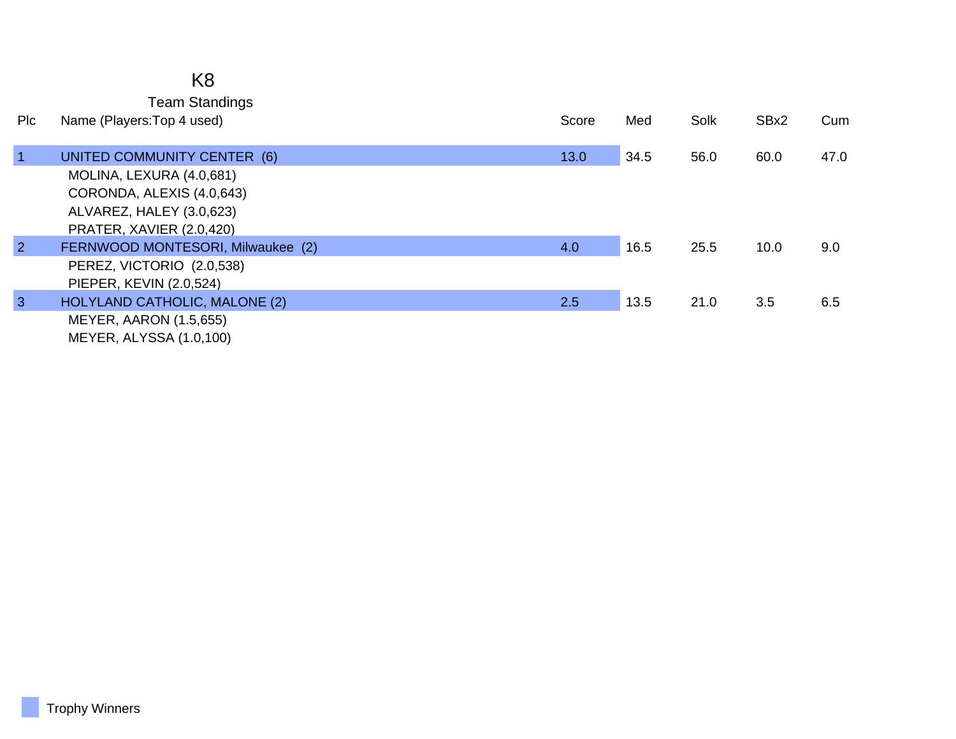| K8                    |
|-----------------------|
| <b>Team Standings</b> |

| <b>PIC</b>     | Name (Players: Top 4 used)        | Score | Med  | Solk | SBx2 | Cum  |
|----------------|-----------------------------------|-------|------|------|------|------|
| $\mathbf{1}$   | UNITED COMMUNITY CENTER (6)       | 13.0  | 34.5 | 56.0 | 60.0 | 47.0 |
|                | MOLINA, LEXURA (4.0,681)          |       |      |      |      |      |
|                | CORONDA, ALEXIS (4.0,643)         |       |      |      |      |      |
|                | ALVAREZ, HALEY (3.0,623)          |       |      |      |      |      |
|                | PRATER, XAVIER (2.0,420)          |       |      |      |      |      |
| $\overline{2}$ | FERNWOOD MONTESORI, Milwaukee (2) | 4.0   | 16.5 | 25.5 | 10.0 | 9.0  |
|                | PEREZ, VICTORIO (2.0,538)         |       |      |      |      |      |
|                | PIEPER, KEVIN (2.0,524)           |       |      |      |      |      |
| 3              | HOLYLAND CATHOLIC, MALONE (2)     | 2.5   | 13.5 | 21.0 | 3.5  | 6.5  |
|                | <b>MEYER, AARON (1.5,655)</b>     |       |      |      |      |      |
|                | MEYER, ALYSSA (1.0,100)           |       |      |      |      |      |